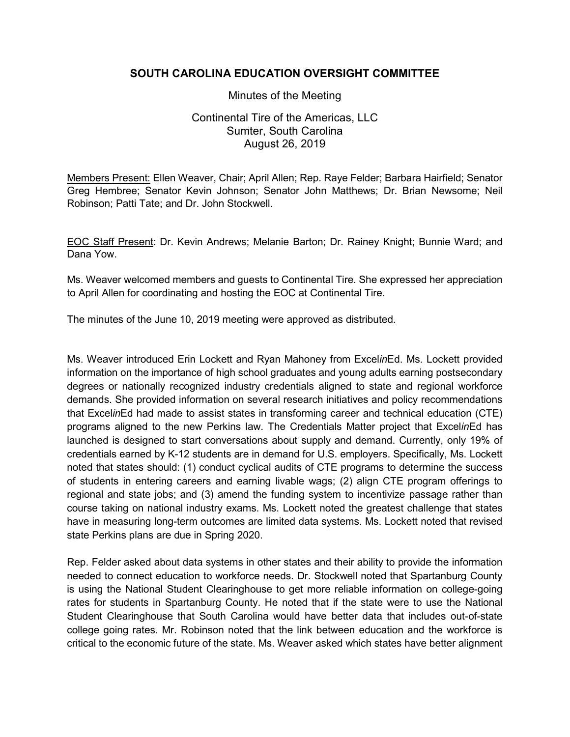## **SOUTH CAROLINA EDUCATION OVERSIGHT COMMITTEE**

Minutes of the Meeting

Continental Tire of the Americas, LLC Sumter, South Carolina August 26, 2019

Members Present: Ellen Weaver, Chair; April Allen; Rep. Raye Felder; Barbara Hairfield; Senator Greg Hembree; Senator Kevin Johnson; Senator John Matthews; Dr. Brian Newsome; Neil Robinson; Patti Tate; and Dr. John Stockwell.

EOC Staff Present: Dr. Kevin Andrews; Melanie Barton; Dr. Rainey Knight; Bunnie Ward; and Dana Yow.

Ms. Weaver welcomed members and guests to Continental Tire. She expressed her appreciation to April Allen for coordinating and hosting the EOC at Continental Tire.

The minutes of the June 10, 2019 meeting were approved as distributed.

Ms. Weaver introduced Erin Lockett and Ryan Mahoney from Excel*in*Ed. Ms. Lockett provided information on the importance of high school graduates and young adults earning postsecondary degrees or nationally recognized industry credentials aligned to state and regional workforce demands. She provided information on several research initiatives and policy recommendations that Excel*in*Ed had made to assist states in transforming career and technical education (CTE) programs aligned to the new Perkins law. The Credentials Matter project that Excel*in*Ed has launched is designed to start conversations about supply and demand. Currently, only 19% of credentials earned by K-12 students are in demand for U.S. employers. Specifically, Ms. Lockett noted that states should: (1) conduct cyclical audits of CTE programs to determine the success of students in entering careers and earning livable wags; (2) align CTE program offerings to regional and state jobs; and (3) amend the funding system to incentivize passage rather than course taking on national industry exams. Ms. Lockett noted the greatest challenge that states have in measuring long-term outcomes are limited data systems. Ms. Lockett noted that revised state Perkins plans are due in Spring 2020.

Rep. Felder asked about data systems in other states and their ability to provide the information needed to connect education to workforce needs. Dr. Stockwell noted that Spartanburg County is using the National Student Clearinghouse to get more reliable information on college-going rates for students in Spartanburg County. He noted that if the state were to use the National Student Clearinghouse that South Carolina would have better data that includes out-of-state college going rates. Mr. Robinson noted that the link between education and the workforce is critical to the economic future of the state. Ms. Weaver asked which states have better alignment